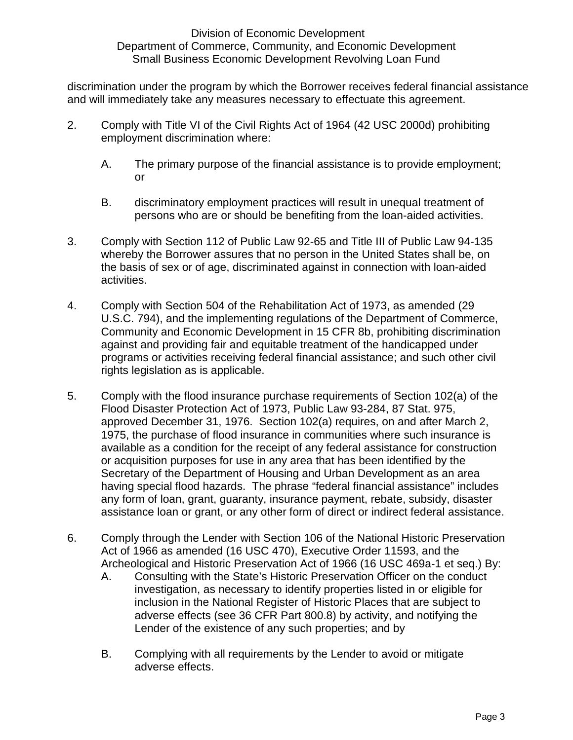discrimination under the program by which the Borrower receives federal financial assistance and will immediately take any measures necessary to effectuate this agreement.

- 2. Comply with Title VI of the Civil Rights Act of 1964 (42 USC 2000d) prohibiting employment discrimination where:
	- A. The primary purpose of the financial assistance is to provide employment; or
	- B. discriminatory employment practices will result in unequal treatment of persons who are or should be benefiting from the loan-aided activities.
- 3. Comply with Section 112 of Public Law 92-65 and Title III of Public Law 94-135 whereby the Borrower assures that no person in the United States shall be, on the basis of sex or of age, discriminated against in connection with loan-aided activities.
- 4. Comply with Section 504 of the Rehabilitation Act of 1973, as amended (29 U.S.C. 794), and the implementing regulations of the Department of Commerce, Community and Economic Development in 15 CFR 8b, prohibiting discrimination against and providing fair and equitable treatment of the handicapped under programs or activities receiving federal financial assistance; and such other civil rights legislation as is applicable.
- 5. Comply with the flood insurance purchase requirements of Section 102(a) of the Flood Disaster Protection Act of 1973, Public Law 93-284, 87 Stat. 975, approved December 31, 1976. Section 102(a) requires, on and after March 2, 1975, the purchase of flood insurance in communities where such insurance is available as a condition for the receipt of any federal assistance for construction or acquisition purposes for use in any area that has been identified by the Secretary of the Department of Housing and Urban Development as an area having special flood hazards. The phrase "federal financial assistance" includes any form of loan, grant, guaranty, insurance payment, rebate, subsidy, disaster assistance loan or grant, or any other form of direct or indirect federal assistance.
- 6. Comply through the Lender with Section 106 of the National Historic Preservation Act of 1966 as amended (16 USC 470), Executive Order 11593, and the Archeological and Historic Preservation Act of 1966 (16 USC 469a-1 et seq.) By:
	- A. Consulting with the State's Historic Preservation Officer on the conduct investigation, as necessary to identify properties listed in or eligible for inclusion in the National Register of Historic Places that are subject to adverse effects (see 36 CFR Part 800.8) by activity, and notifying the Lender of the existence of any such properties; and by
	- B. Complying with all requirements by the Lender to avoid or mitigate adverse effects.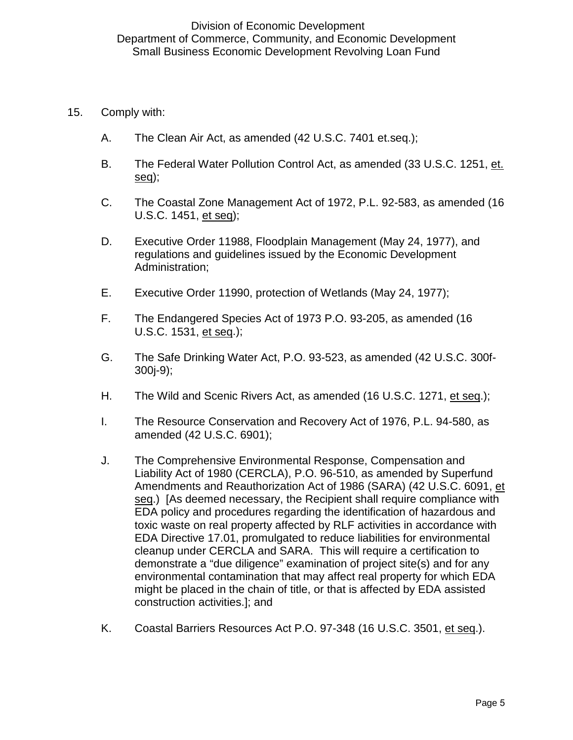- 15. Comply with:
	- A. The Clean Air Act, as amended (42 U.S.C. 7401 et.seq.);
	- B. The Federal Water Pollution Control Act, as amended (33 U.S.C. 1251, et. seq);
	- C. The Coastal Zone Management Act of 1972, P.L. 92-583, as amended (16 U.S.C. 1451, et seq);
	- D. Executive Order 11988, Floodplain Management (May 24, 1977), and regulations and guidelines issued by the Economic Development Administration;
	- E. Executive Order 11990, protection of Wetlands (May 24, 1977);
	- F. The Endangered Species Act of 1973 P.O. 93-205, as amended (16 U.S.C. 1531, et seq.);
	- G. The Safe Drinking Water Act, P.O. 93-523, as amended (42 U.S.C. 300f-300j-9);
	- H. The Wild and Scenic Rivers Act, as amended (16 U.S.C. 1271, et seq.);
	- I. The Resource Conservation and Recovery Act of 1976, P.L. 94-580, as amended (42 U.S.C. 6901);
	- J. The Comprehensive Environmental Response, Compensation and Liability Act of 1980 (CERCLA), P.O. 96-510, as amended by Superfund Amendments and Reauthorization Act of 1986 (SARA) (42 U.S.C. 6091, et seq.) [As deemed necessary, the Recipient shall require compliance with EDA policy and procedures regarding the identification of hazardous and toxic waste on real property affected by RLF activities in accordance with EDA Directive 17.01, promulgated to reduce liabilities for environmental cleanup under CERCLA and SARA. This will require a certification to demonstrate a "due diligence" examination of project site(s) and for any environmental contamination that may affect real property for which EDA might be placed in the chain of title, or that is affected by EDA assisted construction activities.]; and
	- K. Coastal Barriers Resources Act P.O. 97-348 (16 U.S.C. 3501, et seq.).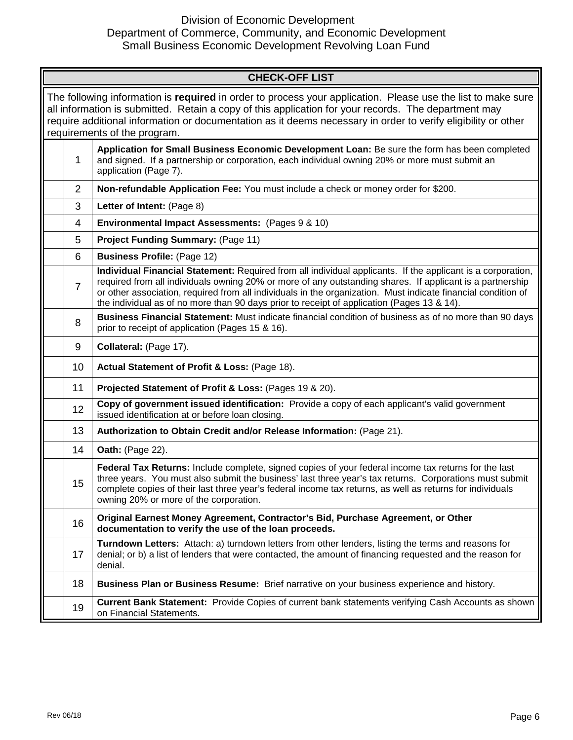# DED - INVESTMENTS

| <b>CHECK-OFF LIST</b>                                                                                                                                                                                                                                                                                                                                                        |                                                                             |                                                                                                                                                                                                                                                                                                                                                                                                                                         |  |  |  |
|------------------------------------------------------------------------------------------------------------------------------------------------------------------------------------------------------------------------------------------------------------------------------------------------------------------------------------------------------------------------------|-----------------------------------------------------------------------------|-----------------------------------------------------------------------------------------------------------------------------------------------------------------------------------------------------------------------------------------------------------------------------------------------------------------------------------------------------------------------------------------------------------------------------------------|--|--|--|
| The following information is <b>required</b> in order to process your application. Please use the list to make sure<br>all information is submitted. Retain a copy of this application for your records. The department may<br>require additional information or documentation as it deems necessary in order to verify eligibility or other<br>requirements of the program. |                                                                             |                                                                                                                                                                                                                                                                                                                                                                                                                                         |  |  |  |
|                                                                                                                                                                                                                                                                                                                                                                              | 1                                                                           | Application for Small Business Economic Development Loan: Be sure the form has been completed<br>and signed. If a partnership or corporation, each individual owning 20% or more must submit an<br>application (Page 7).                                                                                                                                                                                                                |  |  |  |
|                                                                                                                                                                                                                                                                                                                                                                              | $\overline{2}$                                                              | Non-refundable Application Fee: You must include a check or money order for \$250.                                                                                                                                                                                                                                                                                                                                                      |  |  |  |
|                                                                                                                                                                                                                                                                                                                                                                              | 3                                                                           | Letter of Intent: (Page 8)                                                                                                                                                                                                                                                                                                                                                                                                              |  |  |  |
|                                                                                                                                                                                                                                                                                                                                                                              | 4                                                                           | Environmental Impact Assessments: (Pages 9 & 10)                                                                                                                                                                                                                                                                                                                                                                                        |  |  |  |
|                                                                                                                                                                                                                                                                                                                                                                              | 5                                                                           | <b>Project Funding Summary: (Page 11)</b>                                                                                                                                                                                                                                                                                                                                                                                               |  |  |  |
|                                                                                                                                                                                                                                                                                                                                                                              | 6                                                                           | <b>Business Profile: (Page 12)</b>                                                                                                                                                                                                                                                                                                                                                                                                      |  |  |  |
|                                                                                                                                                                                                                                                                                                                                                                              | $\overline{7}$                                                              | Individual Financial Statement: Required from all individual applicants. If the applicant is a corporation,<br>required from all individuals owning 20% or more of any outstanding shares. If applicant is a partnership<br>or other association, required from all individuals in the organization. Must indicate financial condition of<br>the individual as of no more than 90 days prior to receipt of application (Pages 13 & 14). |  |  |  |
|                                                                                                                                                                                                                                                                                                                                                                              | 8                                                                           | Business Financial Statement: Must indicate financial condition of business as of no more than 90 days<br>prior to receipt of application (Pages 15 & 16).                                                                                                                                                                                                                                                                              |  |  |  |
|                                                                                                                                                                                                                                                                                                                                                                              | 9                                                                           | Collateral: (Page 17).                                                                                                                                                                                                                                                                                                                                                                                                                  |  |  |  |
|                                                                                                                                                                                                                                                                                                                                                                              | 10                                                                          | Actual Statement of Profit & Loss: (Page 18).                                                                                                                                                                                                                                                                                                                                                                                           |  |  |  |
|                                                                                                                                                                                                                                                                                                                                                                              | 11                                                                          | Projected Statement of Profit & Loss: (Pages 19 & 20).                                                                                                                                                                                                                                                                                                                                                                                  |  |  |  |
|                                                                                                                                                                                                                                                                                                                                                                              | 12                                                                          | Copy of government issued identification: Provide a copy of each applicant's valid government<br>issued identification at or before loan closing.                                                                                                                                                                                                                                                                                       |  |  |  |
|                                                                                                                                                                                                                                                                                                                                                                              | 13<br>Authorization to Obtain Credit and/or Release Information: (Page 21). |                                                                                                                                                                                                                                                                                                                                                                                                                                         |  |  |  |
|                                                                                                                                                                                                                                                                                                                                                                              | 14                                                                          | <b>Oath: (Page 22).</b>                                                                                                                                                                                                                                                                                                                                                                                                                 |  |  |  |
|                                                                                                                                                                                                                                                                                                                                                                              | 15                                                                          | Federal Tax Returns: Include complete, signed copies of your federal income tax returns for the last<br>three years. You must also submit the business' last three year's tax returns. Corporations must submit<br>complete copies of their last three year's federal income tax returns, as well as returns for individuals<br>owning 20% or more of the corporation.                                                                  |  |  |  |
|                                                                                                                                                                                                                                                                                                                                                                              | 16                                                                          | Original Earnest Money Agreement, Contractor's Bid, Purchase Agreement, or Other<br>documentation to verify the use of the loan proceeds.                                                                                                                                                                                                                                                                                               |  |  |  |
|                                                                                                                                                                                                                                                                                                                                                                              | 17                                                                          | Turndown Letters: Attach: a) turndown letters from other lenders, listing the terms and reasons for<br>denial; or b) a list of lenders that were contacted, the amount of financing requested and the reason for<br>denial.                                                                                                                                                                                                             |  |  |  |
|                                                                                                                                                                                                                                                                                                                                                                              | 18                                                                          | Business Plan or Business Resume: Brief narrative on your business experience and history.                                                                                                                                                                                                                                                                                                                                              |  |  |  |
|                                                                                                                                                                                                                                                                                                                                                                              | 19                                                                          | Current Bank Statement: Provide Copies of current bank statements verifying Cash Accounts as shown<br>on Financial Statements.                                                                                                                                                                                                                                                                                                          |  |  |  |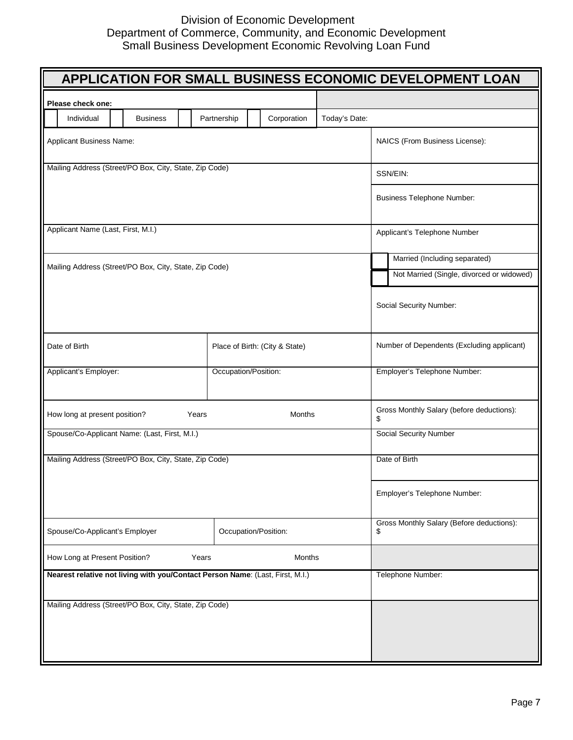|                                                                               |                                |               |               | APPLICATION FOR SMALL BUSINESS ECONOMIC DEVELOPMENT LOAN |  |
|-------------------------------------------------------------------------------|--------------------------------|---------------|---------------|----------------------------------------------------------|--|
| Please check one:                                                             |                                |               |               |                                                          |  |
| Individual<br><b>Business</b>                                                 | Partnership                    | Corporation   | Today's Date: |                                                          |  |
| Applicant Business Name:                                                      |                                |               |               | NAICS (From Business License):                           |  |
| Mailing Address (Street/PO Box, City, State, Zip Code)                        |                                |               |               | SSN/EIN:                                                 |  |
|                                                                               |                                |               |               | <b>Business Telephone Number:</b>                        |  |
| Applicant Name (Last, First, M.I.)                                            |                                |               |               | Applicant's Telephone Number                             |  |
|                                                                               |                                |               |               | Married (Including separated)                            |  |
| Mailing Address (Street/PO Box, City, State, Zip Code)                        |                                |               |               | Not Married (Single, divorced or widowed)                |  |
|                                                                               |                                |               |               | Social Security Number:                                  |  |
| Date of Birth                                                                 | Place of Birth: (City & State) |               |               | Number of Dependents (Excluding applicant)               |  |
| Applicant's Employer:                                                         | Occupation/Position:           |               |               | Employer's Telephone Number:                             |  |
| How long at present position?<br>Years                                        |                                | <b>Months</b> |               | Gross Monthly Salary (before deductions):<br>\$          |  |
| Spouse/Co-Applicant Name: (Last, First, M.I.)                                 |                                |               |               | <b>Social Security Number</b>                            |  |
| Mailing Address (Street/PO Box, City, State, Zip Code)                        |                                |               |               | Date of Birth                                            |  |
|                                                                               |                                |               |               | Employer's Telephone Number:                             |  |
| Spouse/Co-Applicant's Employer                                                | Occupation/Position:           |               |               | Gross Monthly Salary (Before deductions):<br>\$          |  |
| How Long at Present Position?<br>Years                                        |                                | Months        |               |                                                          |  |
| Nearest relative not living with you/Contact Person Name: (Last, First, M.I.) |                                |               |               | Telephone Number:                                        |  |
| Mailing Address (Street/PO Box, City, State, Zip Code)                        |                                |               |               |                                                          |  |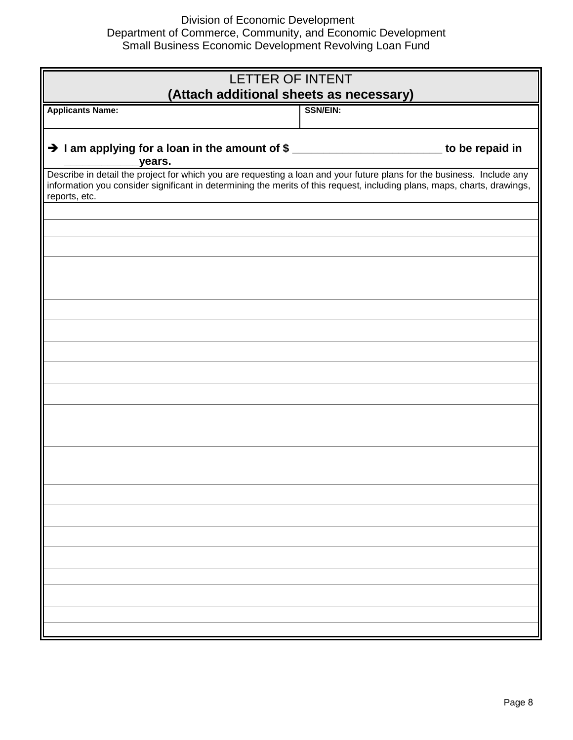| LETTER OF INTENT<br>(Attach additional sheets as necessary)                                                                                                                                                                                                         |                 |  |  |
|---------------------------------------------------------------------------------------------------------------------------------------------------------------------------------------------------------------------------------------------------------------------|-----------------|--|--|
| <b>Applicants Name:</b>                                                                                                                                                                                                                                             | <b>SSN/EIN:</b> |  |  |
| $\rightarrow$ I am applying for a loan in the amount of \$ __________________________ to be repaid in<br>years.                                                                                                                                                     |                 |  |  |
| Describe in detail the project for which you are requesting a loan and your future plans for the business. Include any<br>information you consider significant in determining the merits of this request, including plans, maps, charts, drawings,<br>reports, etc. |                 |  |  |
|                                                                                                                                                                                                                                                                     |                 |  |  |
|                                                                                                                                                                                                                                                                     |                 |  |  |
|                                                                                                                                                                                                                                                                     |                 |  |  |
|                                                                                                                                                                                                                                                                     |                 |  |  |
|                                                                                                                                                                                                                                                                     |                 |  |  |
|                                                                                                                                                                                                                                                                     |                 |  |  |
|                                                                                                                                                                                                                                                                     |                 |  |  |
|                                                                                                                                                                                                                                                                     |                 |  |  |
|                                                                                                                                                                                                                                                                     |                 |  |  |
|                                                                                                                                                                                                                                                                     |                 |  |  |
|                                                                                                                                                                                                                                                                     |                 |  |  |
|                                                                                                                                                                                                                                                                     |                 |  |  |
|                                                                                                                                                                                                                                                                     |                 |  |  |
|                                                                                                                                                                                                                                                                     |                 |  |  |
|                                                                                                                                                                                                                                                                     |                 |  |  |
|                                                                                                                                                                                                                                                                     |                 |  |  |
|                                                                                                                                                                                                                                                                     |                 |  |  |
|                                                                                                                                                                                                                                                                     |                 |  |  |
|                                                                                                                                                                                                                                                                     |                 |  |  |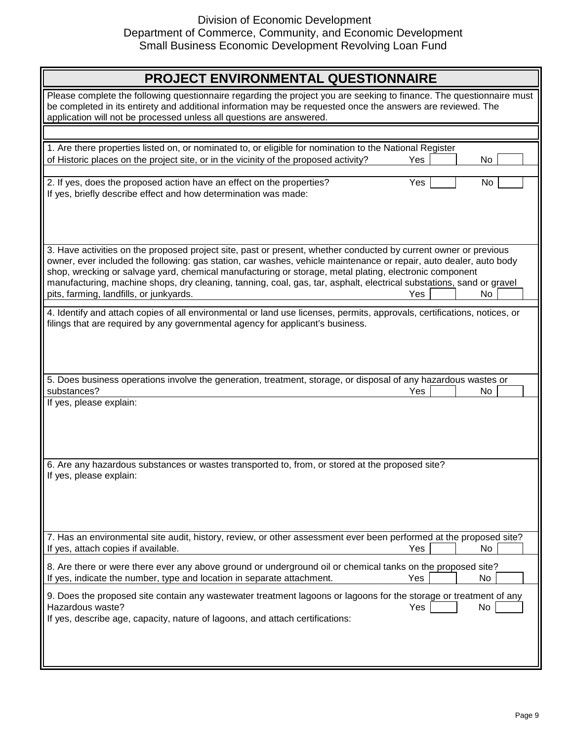| PROJECT ENVIRONMENTAL QUESTIONNAIRE                                                                                                                                                                                                                                                                                                                                                                                                                                                                                              |  |     |  |  |
|----------------------------------------------------------------------------------------------------------------------------------------------------------------------------------------------------------------------------------------------------------------------------------------------------------------------------------------------------------------------------------------------------------------------------------------------------------------------------------------------------------------------------------|--|-----|--|--|
| Please complete the following questionnaire regarding the project you are seeking to finance. The questionnaire must<br>be completed in its entirety and additional information may be requested once the answers are reviewed. The<br>application will not be processed unless all questions are answered.                                                                                                                                                                                                                      |  |     |  |  |
|                                                                                                                                                                                                                                                                                                                                                                                                                                                                                                                                  |  |     |  |  |
| 1. Are there properties listed on, or nominated to, or eligible for nomination to the National Register                                                                                                                                                                                                                                                                                                                                                                                                                          |  |     |  |  |
| of Historic places on the project site, or in the vicinity of the proposed activity?<br>Yes                                                                                                                                                                                                                                                                                                                                                                                                                                      |  | No. |  |  |
| Yes<br>2. If yes, does the proposed action have an effect on the properties?<br>If yes, briefly describe effect and how determination was made:                                                                                                                                                                                                                                                                                                                                                                                  |  | No  |  |  |
| 3. Have activities on the proposed project site, past or present, whether conducted by current owner or previous<br>owner, ever included the following: gas station, car washes, vehicle maintenance or repair, auto dealer, auto body<br>shop, wrecking or salvage yard, chemical manufacturing or storage, metal plating, electronic component<br>manufacturing, machine shops, dry cleaning, tanning, coal, gas, tar, asphalt, electrical substations, sand or gravel<br>pits, farming, landfills, or junkyards.<br>No<br>Yes |  |     |  |  |
| 4. Identify and attach copies of all environmental or land use licenses, permits, approvals, certifications, notices, or<br>filings that are required by any governmental agency for applicant's business.                                                                                                                                                                                                                                                                                                                       |  |     |  |  |
| 5. Does business operations involve the generation, treatment, storage, or disposal of any hazardous wastes or                                                                                                                                                                                                                                                                                                                                                                                                                   |  |     |  |  |
| substances?<br>Yes                                                                                                                                                                                                                                                                                                                                                                                                                                                                                                               |  | No  |  |  |
| If yes, please explain:<br>6. Are any hazardous substances or wastes transported to, from, or stored at the proposed site?<br>If yes, please explain:                                                                                                                                                                                                                                                                                                                                                                            |  |     |  |  |
| 7. Has an environmental site audit, history, review, or other assessment ever been performed at the proposed site?<br>If yes, attach copies if available.<br>Yes                                                                                                                                                                                                                                                                                                                                                                 |  | No  |  |  |
| 8. Are there or were there ever any above ground or underground oil or chemical tanks on the proposed site?<br>If yes, indicate the number, type and location in separate attachment.<br>Yes                                                                                                                                                                                                                                                                                                                                     |  | No  |  |  |
| 9. Does the proposed site contain any wastewater treatment lagoons or lagoons for the storage or treatment of any<br>Hazardous waste?<br>Yes<br>If yes, describe age, capacity, nature of lagoons, and attach certifications:                                                                                                                                                                                                                                                                                                    |  | No  |  |  |
|                                                                                                                                                                                                                                                                                                                                                                                                                                                                                                                                  |  |     |  |  |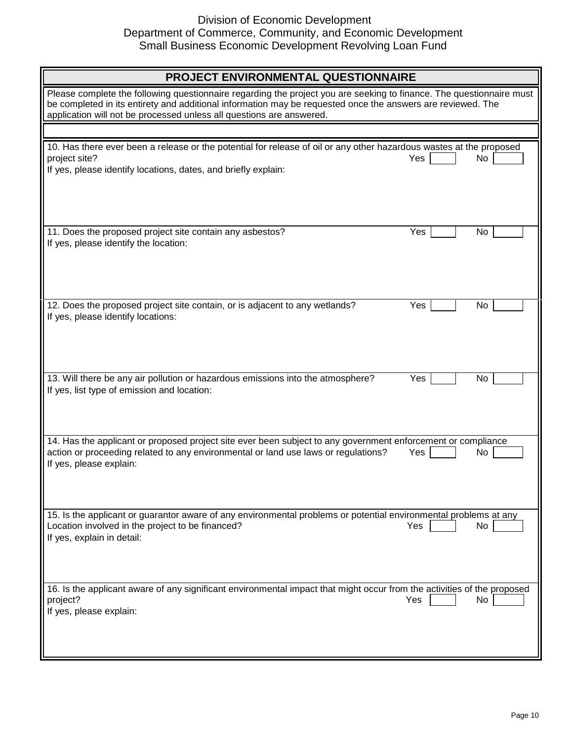| PROJECT ENVIRONMENTAL QUESTIONNAIRE                                                                                                                                                                                                                                                                         |           |  |  |  |
|-------------------------------------------------------------------------------------------------------------------------------------------------------------------------------------------------------------------------------------------------------------------------------------------------------------|-----------|--|--|--|
| Please complete the following questionnaire regarding the project you are seeking to finance. The questionnaire must<br>be completed in its entirety and additional information may be requested once the answers are reviewed. The<br>application will not be processed unless all questions are answered. |           |  |  |  |
|                                                                                                                                                                                                                                                                                                             |           |  |  |  |
| 10. Has there ever been a release or the potential for release of oil or any other hazardous wastes at the proposed<br>project site?<br>If yes, please identify locations, dates, and briefly explain:                                                                                                      | Yes<br>No |  |  |  |
| 11. Does the proposed project site contain any asbestos?<br>If yes, please identify the location:                                                                                                                                                                                                           | Yes<br>No |  |  |  |
| 12. Does the proposed project site contain, or is adjacent to any wetlands?<br>If yes, please identify locations:                                                                                                                                                                                           | Yes<br>No |  |  |  |
| 13. Will there be any air pollution or hazardous emissions into the atmosphere?<br>If yes, list type of emission and location:                                                                                                                                                                              | Yes<br>No |  |  |  |
| 14. Has the applicant or proposed project site ever been subject to any government enforcement or compliance<br>action or proceeding related to any environmental or land use laws or regulations?<br>If yes, please explain:                                                                               | Yes<br>No |  |  |  |
| 15. Is the applicant or guarantor aware of any environmental problems or potential environmental problems at any<br>Location involved in the project to be financed?<br>If yes, explain in detail:                                                                                                          | Yes<br>No |  |  |  |
| 16. Is the applicant aware of any significant environmental impact that might occur from the activities of the proposed<br>project?<br>If yes, please explain:                                                                                                                                              | Yes<br>No |  |  |  |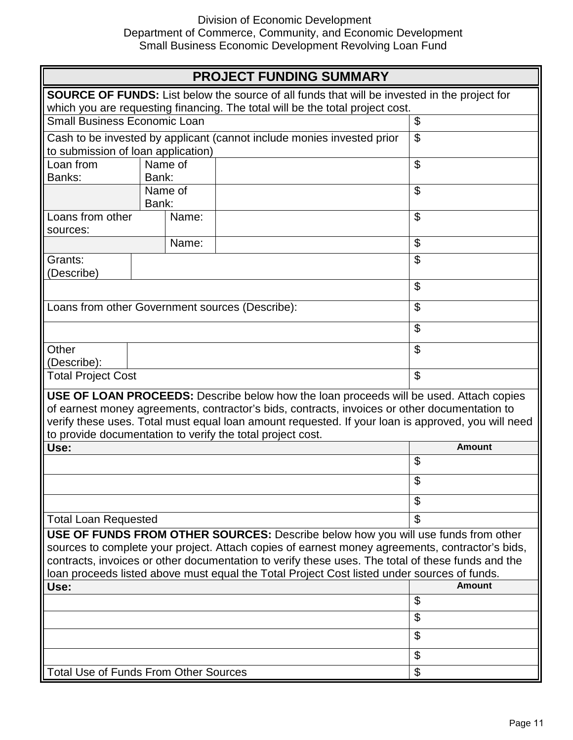| <b>PROJECT FUNDING SUMMARY</b>                                                                                                                                                                                                                                                                                                                                                           |                                                                                                                                           |  |                |  |
|------------------------------------------------------------------------------------------------------------------------------------------------------------------------------------------------------------------------------------------------------------------------------------------------------------------------------------------------------------------------------------------|-------------------------------------------------------------------------------------------------------------------------------------------|--|----------------|--|
| SOURCE OF FUNDS: List below the source of all funds that will be invested in the project for                                                                                                                                                                                                                                                                                             |                                                                                                                                           |  |                |  |
|                                                                                                                                                                                                                                                                                                                                                                                          | which you are requesting financing. The total will be the total project cost.                                                             |  |                |  |
|                                                                                                                                                                                                                                                                                                                                                                                          | Small Business Economic Loan<br>$\boldsymbol{\mathsf{S}}$                                                                                 |  |                |  |
|                                                                                                                                                                                                                                                                                                                                                                                          | $\boldsymbol{\mathsf{S}}$<br>Cash to be invested by applicant (cannot include monies invested prior<br>to submission of loan application) |  |                |  |
| Name of<br>Loan from<br>Bank:<br>Banks:                                                                                                                                                                                                                                                                                                                                                  |                                                                                                                                           |  | \$             |  |
|                                                                                                                                                                                                                                                                                                                                                                                          | Name of<br>Bank:                                                                                                                          |  | \$             |  |
| Loans from other<br>sources:                                                                                                                                                                                                                                                                                                                                                             | Name:                                                                                                                                     |  | $\mathfrak{S}$ |  |
|                                                                                                                                                                                                                                                                                                                                                                                          | Name:                                                                                                                                     |  | \$             |  |
| Grants:<br>(Describe)                                                                                                                                                                                                                                                                                                                                                                    |                                                                                                                                           |  | \$             |  |
|                                                                                                                                                                                                                                                                                                                                                                                          |                                                                                                                                           |  | \$             |  |
| Loans from other Government sources (Describe):                                                                                                                                                                                                                                                                                                                                          | \$                                                                                                                                        |  |                |  |
|                                                                                                                                                                                                                                                                                                                                                                                          |                                                                                                                                           |  | \$             |  |
| Other<br>(Describe):                                                                                                                                                                                                                                                                                                                                                                     |                                                                                                                                           |  | \$             |  |
| \$<br><b>Total Project Cost</b>                                                                                                                                                                                                                                                                                                                                                          |                                                                                                                                           |  |                |  |
| USE OF LOAN PROCEEDS: Describe below how the loan proceeds will be used. Attach copies<br>of earnest money agreements, contractor's bids, contracts, invoices or other documentation to<br>verify these uses. Total must equal loan amount requested. If your loan is approved, you will need<br>to provide documentation to verify the total project cost.                              |                                                                                                                                           |  |                |  |
| Use:                                                                                                                                                                                                                                                                                                                                                                                     |                                                                                                                                           |  | Amount         |  |
|                                                                                                                                                                                                                                                                                                                                                                                          |                                                                                                                                           |  | \$             |  |
|                                                                                                                                                                                                                                                                                                                                                                                          |                                                                                                                                           |  | ሖ<br>Φ         |  |
|                                                                                                                                                                                                                                                                                                                                                                                          |                                                                                                                                           |  | \$             |  |
| <b>Total Loan Requested</b>                                                                                                                                                                                                                                                                                                                                                              |                                                                                                                                           |  | \$             |  |
| USE OF FUNDS FROM OTHER SOURCES: Describe below how you will use funds from other<br>sources to complete your project. Attach copies of earnest money agreements, contractor's bids,<br>contracts, invoices or other documentation to verify these uses. The total of these funds and the<br>loan proceeds listed above must equal the Total Project Cost listed under sources of funds. |                                                                                                                                           |  |                |  |
| Use:                                                                                                                                                                                                                                                                                                                                                                                     |                                                                                                                                           |  | Amount         |  |
|                                                                                                                                                                                                                                                                                                                                                                                          |                                                                                                                                           |  | \$             |  |
|                                                                                                                                                                                                                                                                                                                                                                                          |                                                                                                                                           |  | \$             |  |
|                                                                                                                                                                                                                                                                                                                                                                                          |                                                                                                                                           |  | \$             |  |
|                                                                                                                                                                                                                                                                                                                                                                                          |                                                                                                                                           |  | \$             |  |
| \$<br><b>Total Use of Funds From Other Sources</b>                                                                                                                                                                                                                                                                                                                                       |                                                                                                                                           |  |                |  |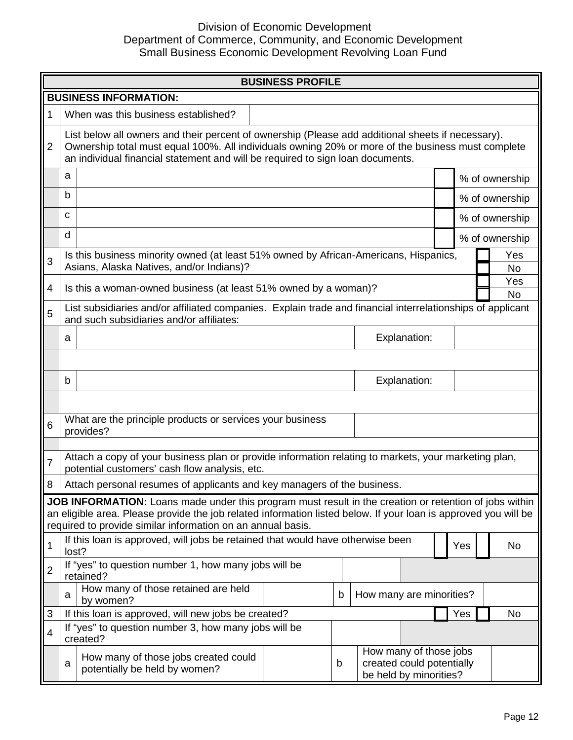

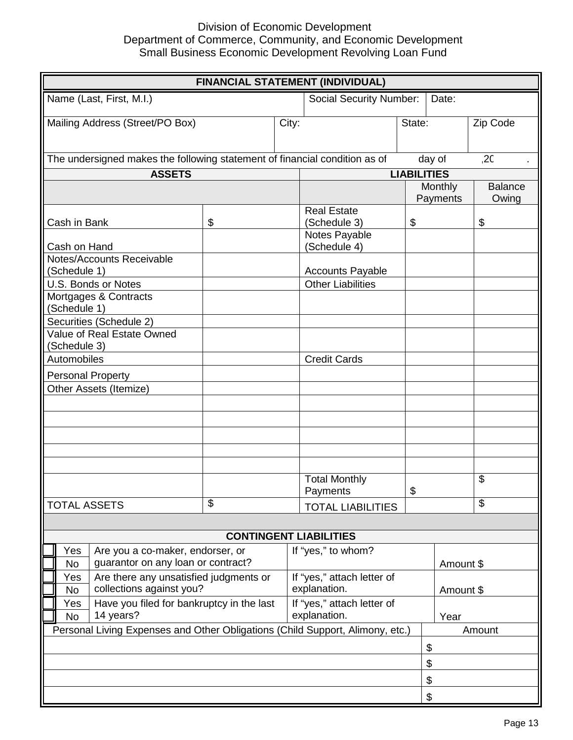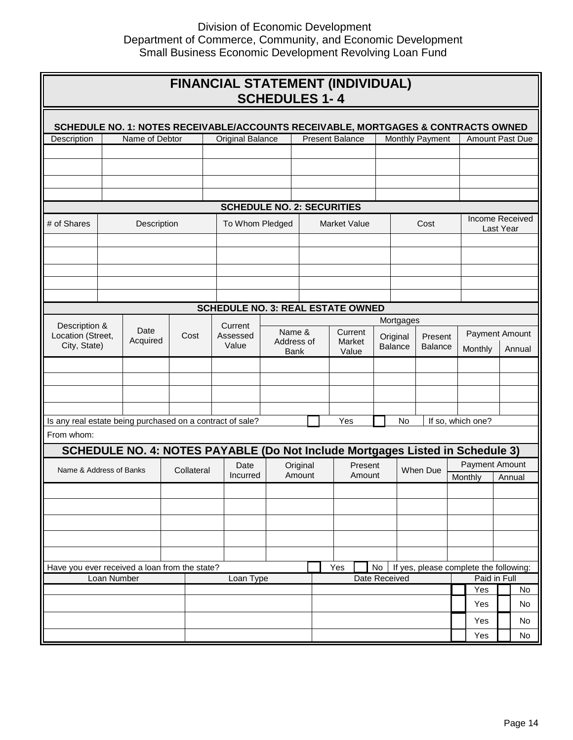# $\begin{array}{ccc} \square & \quad & \square \end{array}$

 $\begin{array}{ccc} \square & \square & \end{array}$ 

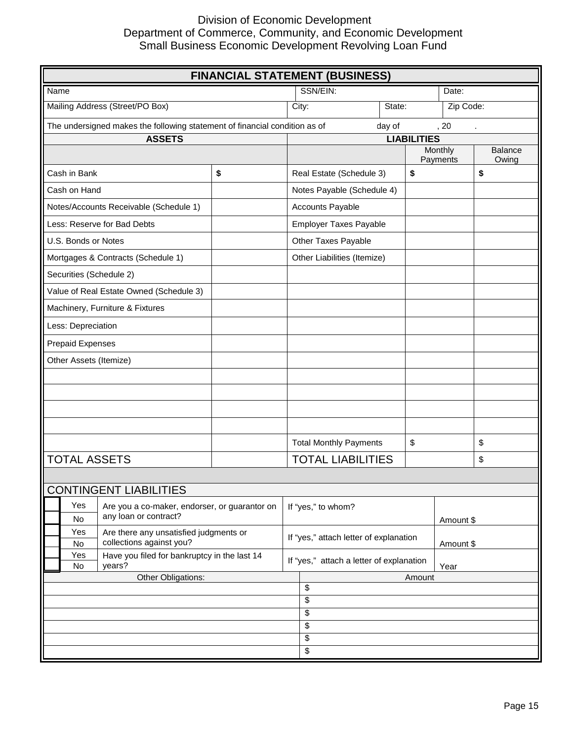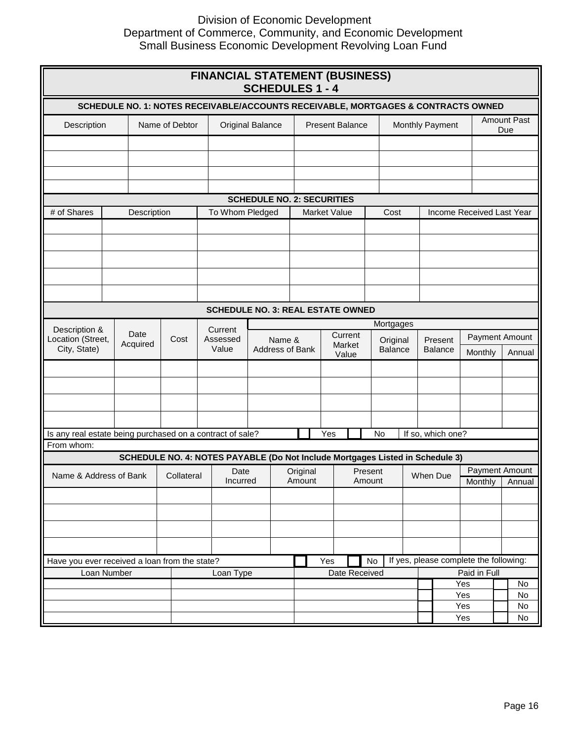$\begin{array}{ccc} \square & \square & \square \end{array}$